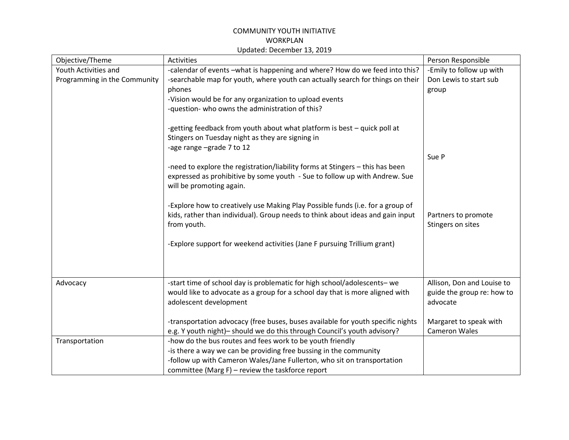## COMMUNITY YOUTH INITIATIVE WORKPLAN Updated: December 13, 2019

| Objective/Theme              | <b>Activities</b>                                                                                                                                                | Person Responsible                       |
|------------------------------|------------------------------------------------------------------------------------------------------------------------------------------------------------------|------------------------------------------|
| Youth Activities and         | -calendar of events -what is happening and where? How do we feed into this?                                                                                      | -Emily to follow up with                 |
| Programming in the Community | -searchable map for youth, where youth can actually search for things on their                                                                                   | Don Lewis to start sub                   |
|                              | phones                                                                                                                                                           | group                                    |
|                              | -Vision would be for any organization to upload events                                                                                                           |                                          |
|                              | -question- who owns the administration of this?                                                                                                                  |                                          |
|                              |                                                                                                                                                                  |                                          |
|                              | -getting feedback from youth about what platform is best - quick poll at                                                                                         |                                          |
|                              | Stingers on Tuesday night as they are signing in                                                                                                                 |                                          |
|                              | -age range -grade 7 to 12                                                                                                                                        |                                          |
|                              |                                                                                                                                                                  | Sue P                                    |
|                              | -need to explore the registration/liability forms at Stingers - this has been                                                                                    |                                          |
|                              | expressed as prohibitive by some youth - Sue to follow up with Andrew. Sue                                                                                       |                                          |
|                              | will be promoting again.                                                                                                                                         |                                          |
|                              |                                                                                                                                                                  |                                          |
|                              | -Explore how to creatively use Making Play Possible funds (i.e. for a group of<br>kids, rather than individual). Group needs to think about ideas and gain input |                                          |
|                              | from youth.                                                                                                                                                      | Partners to promote<br>Stingers on sites |
|                              |                                                                                                                                                                  |                                          |
|                              | -Explore support for weekend activities (Jane F pursuing Trillium grant)                                                                                         |                                          |
|                              |                                                                                                                                                                  |                                          |
|                              |                                                                                                                                                                  |                                          |
|                              |                                                                                                                                                                  |                                          |
| Advocacy                     | -start time of school day is problematic for high school/adolescents- we                                                                                         | Allison, Don and Louise to               |
|                              | would like to advocate as a group for a school day that is more aligned with                                                                                     | guide the group re: how to               |
|                              | adolescent development                                                                                                                                           | advocate                                 |
|                              |                                                                                                                                                                  |                                          |
|                              | -transportation advocacy (free buses, buses available for youth specific nights                                                                                  | Margaret to speak with                   |
|                              | e.g. Y youth night)- should we do this through Council's youth advisory?                                                                                         | <b>Cameron Wales</b>                     |
| Transportation               | -how do the bus routes and fees work to be youth friendly                                                                                                        |                                          |
|                              | -is there a way we can be providing free bussing in the community                                                                                                |                                          |
|                              | -follow up with Cameron Wales/Jane Fullerton, who sit on transportation                                                                                          |                                          |
|                              | committee (Marg $F$ ) – review the taskforce report                                                                                                              |                                          |